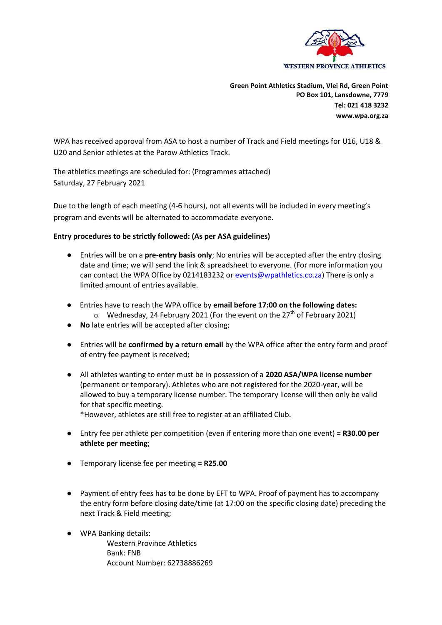

**Green Point Athletics Stadium, Vlei Rd, Green Point PO Box 101, Lansdowne, 7779 Tel: 021 418 3232 www.wpa.org.za**

WPA has received approval from ASA to host a number of Track and Field meetings for U16, U18 & U20 and Senior athletes at the Parow Athletics Track.

The athletics meetings are scheduled for: (Programmes attached) Saturday, 27 February 2021

Due to the length of each meeting (4-6 hours), not all events will be included in every meeting's program and events will be alternated to accommodate everyone.

## **Entry procedures to be strictly followed: (As per ASA guidelines)**

- Entries will be on a **pre-entry basis only**; No entries will be accepted after the entry closing date and time; we will send the link & spreadsheet to everyone. (For more information you can contact the WPA Office by 0214183232 o[r events@wpathletics.co.za\)](mailto:events@wpathletics.co.za) There is only a limited amount of entries available.
- Entries have to reach the WPA office by **email before 17:00 on the following dates:**  $\circ$  Wednesday, 24 February 2021 (For the event on the 27<sup>th</sup> of February 2021)
- **No** late entries will be accepted after closing;
- Entries will be **confirmed by a return email** by the WPA office after the entry form and proof of entry fee payment is received;
- All athletes wanting to enter must be in possession of a **2020 ASA/WPA license number** (permanent or temporary). Athletes who are not registered for the 2020-year, will be allowed to buy a temporary license number. The temporary license will then only be valid for that specific meeting. \*However, athletes are still free to register at an affiliated Club.
- Entry fee per athlete per competition (even if entering more than one event) **= R30.00 per athlete per meeting**;
- Temporary license fee per meeting **= R25.00**
- Payment of entry fees has to be done by EFT to WPA. Proof of payment has to accompany the entry form before closing date/time (at 17:00 on the specific closing date) preceding the next Track & Field meeting;
- WPA Banking details:

Western Province Athletics Bank: FNB Account Number: 62738886269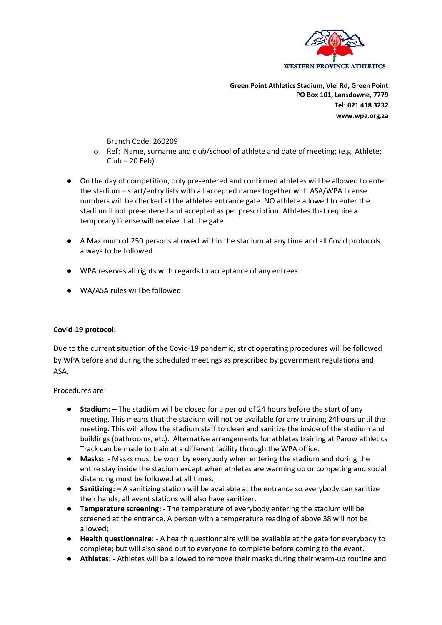

**Green Point Athletics Stadium, Vlei Rd, Green Point PO Box 101, Lansdowne, 7779 Tel: 021 418 3232 www.wpa.org.za**

Branch Code: 260209

- $\circ$  Ref: Name, surname and club/school of athlete and date of meeting; (e.g. Athlete;  $Club - 20$  Feb)
- On the day of competition, only pre-entered and confirmed athletes will be allowed to enter the stadium – start/entry lists with all accepted names together with ASA/WPA license numbers will be checked at the athletes entrance gate. NO athlete allowed to enter the stadium if not pre-entered and accepted as per prescription. Athletes that require a temporary license will receive it at the gate.
- A Maximum of 250 persons allowed within the stadium at any time and all Covid protocols always to be followed.
- WPA reserves all rights with regards to acceptance of any entrees.
- WA/ASA rules will be followed.

## **Covid-19 protocol:**

Due to the current situation of the Covid-19 pandemic, strict operating procedures will be followed by WPA before and during the scheduled meetings as prescribed by government regulations and ASA.

Procedures are:

- **Stadium:**  $-$  The stadium will be closed for a period of 24 hours before the start of any meeting. This means that the stadium will not be available for any training 24hours until the meeting. This will allow the stadium staff to clean and sanitize the inside of the stadium and buildings (bathrooms, etc). Alternative arrangements for athletes training at Parow athletics Track can be made to train at a different facility through the WPA office.
- **Masks: -** Masks must be worn by everybody when entering the stadium and during the entire stay inside the stadium except when athletes are warming up or competing and social distancing must be followed at all times.
- **Sanitizing: –** A sanitizing station will be available at the entrance so everybody can sanitize their hands; all event stations will also have sanitizer.
- **Temperature screening: -** The temperature of everybody entering the stadium will be screened at the entrance. A person with a temperature reading of above 38 will not be allowed;
- **Health questionnaire**: A health questionnaire will be available at the gate for everybody to complete; but will also send out to everyone to complete before coming to the event.
- **Athletes: -** Athletes will be allowed to remove their masks during their warm-up routine and